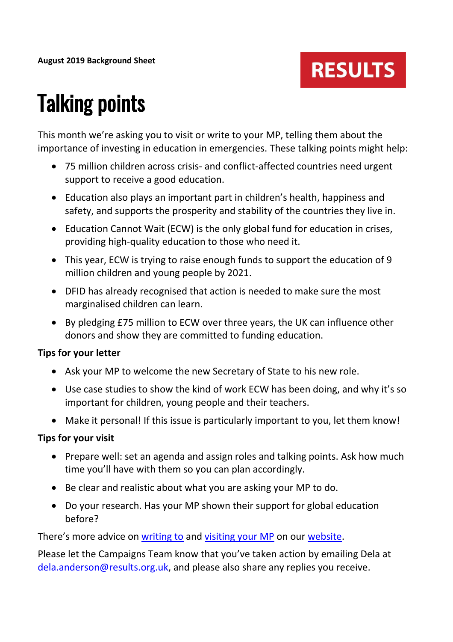### **RESULTS**

# Talking points

This month we're asking you to visit or write to your MP, telling them about the importance of investing in education in emergencies. These talking points might help:

- 75 million children across crisis- and conflict-affected countries need urgent support to receive a good education.
- Education also plays an important part in children's health, happiness and safety, and supports the prosperity and stability of the countries they live in.
- Education Cannot Wait (ECW) is the only global fund for education in crises, providing high-quality education to those who need it.
- This year, ECW is trying to raise enough funds to support the education of 9 million children and young people by 2021.
- DFID has already recognised that action is needed to make sure the most marginalised children can learn.
- By pledging £75 million to ECW over three years, the UK can influence other donors and show they are committed to funding education.

#### **Tips for your letter**

- Ask your MP to welcome the new Secretary of State to his new role.
- Use case studies to show the kind of work ECW has been doing, and why it's so important for children, young people and their teachers.
- Make it personal! If this issue is particularly important to you, let them know!

#### **Tips for your visit**

- Prepare well: set an agenda and assign roles and talking points. Ask how much time you'll have with them so you can plan accordingly.
- Be clear and realistic about what you are asking your MP to do.
- Do your research. Has your MP shown their support for global education before?

There's more advice on [writing to](https://www.results.org.uk/sites/default/files/files/How%20to%20write%20to%20your%20MP_0.pdf) and [visiting your MP](https://www.results.org.uk/sites/default/files/files/How%20to%20hold%20a%20successful%20meeting%20with%20your%20MP.pdf) on our [website.](https://www.results.org.uk/guides)

Please let the Campaigns Team know that you've taken action by emailing Dela at [dela.anderson@results.org.uk,](mailto:dela.anderson@results.org.uk) and please also share any replies you receive.